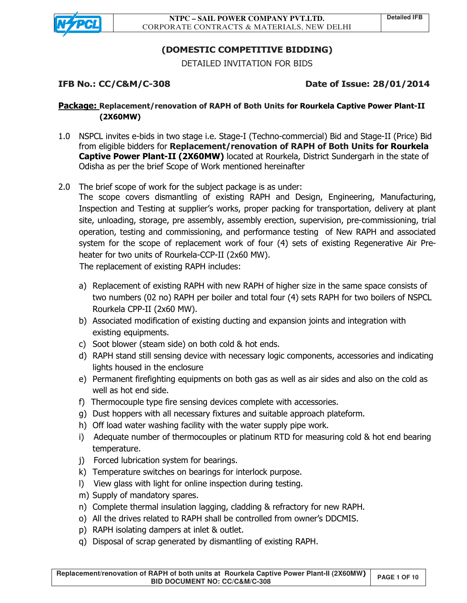

# **(DOMESTIC COMPETITIVE BIDDING)**

DETAILED INVITATION FOR BIDS

# **IFB No.: CC/C&M/C-308 Date of Issue: 28/01/2014**

## **Package: Replacement/renovation of RAPH of Both Units for Rourkela Captive Power Plant-II (2X60MW)**

- 1.0 NSPCL invites e-bids in two stage i.e. Stage-I (Techno-commercial) Bid and Stage-II (Price) Bid from eligible bidders for **Replacement/renovation of RAPH of Both Units for Rourkela Captive Power Plant-II (2X60MW)** located at Rourkela, District Sundergarh in the state of Odisha as per the brief Scope of Work mentioned hereinafter
- 2.0 The brief scope of work for the subject package is as under:

The scope covers dismantling of existing RAPH and Design, Engineering, Manufacturing, Inspection and Testing at supplier's works, proper packing for transportation, delivery at plant site, unloading, storage, pre assembly, assembly erection, supervision, pre-commissioning, trial operation, testing and commissioning, and performance testing of New RAPH and associated system for the scope of replacement work of four (4) sets of existing Regenerative Air Preheater for two units of Rourkela-CCP-II (2x60 MW).

The replacement of existing RAPH includes:

- a) Replacement of existing RAPH with new RAPH of higher size in the same space consists of two numbers (02 no) RAPH per boiler and total four (4) sets RAPH for two boilers of NSPCL Rourkela CPP-II (2x60 MW).
- b) Associated modification of existing ducting and expansion joints and integration with existing equipments.
- c) Soot blower (steam side) on both cold & hot ends.
- d) RAPH stand still sensing device with necessary logic components, accessories and indicating lights housed in the enclosure
- e) Permanent firefighting equipments on both gas as well as air sides and also on the cold as well as hot end side.
- f) Thermocouple type fire sensing devices complete with accessories.
- g) Dust hoppers with all necessary fixtures and suitable approach plateform.
- h) Off load water washing facility with the water supply pipe work.
- i) Adequate number of thermocouples or platinum RTD for measuring cold & hot end bearing temperature.
- j) Forced lubrication system for bearings.
- k) Temperature switches on bearings for interlock purpose.
- l) View glass with light for online inspection during testing.
- m) Supply of mandatory spares.
- n) Complete thermal insulation lagging, cladding & refractory for new RAPH.
- o) All the drives related to RAPH shall be controlled from owner's DDCMIS.
- p) RAPH isolating dampers at inlet & outlet.
- q) Disposal of scrap generated by dismantling of existing RAPH.

**Replacement/renovation of RAPH of both units at Rourkela Captive Power Plant-II (2X60MW)** BID DOCUMENT NO: CC/C&M/C-308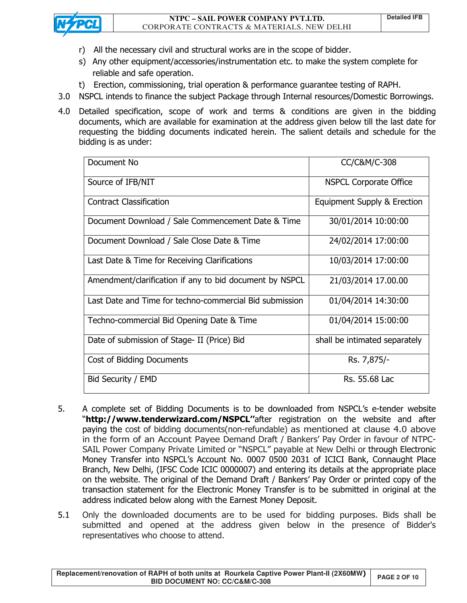

- r) All the necessary civil and structural works are in the scope of bidder.
- s) Any other equipment/accessories/instrumentation etc. to make the system complete for reliable and safe operation.
- t) Erection, commissioning, trial operation & performance guarantee testing of RAPH.
- 3.0 NSPCL intends to finance the subject Package through Internal resources/Domestic Borrowings.
- 4.0 Detailed specification, scope of work and terms & conditions are given in the bidding documents, which are available for examination at the address given below till the last date for requesting the bidding documents indicated herein. The salient details and schedule for the bidding is as under:

| Document No                                             | CC/C&M/C-308                  |
|---------------------------------------------------------|-------------------------------|
| Source of IFB/NIT                                       | <b>NSPCL Corporate Office</b> |
| <b>Contract Classification</b>                          | Equipment Supply & Erection   |
| Document Download / Sale Commencement Date & Time       | 30/01/2014 10:00:00           |
| Document Download / Sale Close Date & Time              | 24/02/2014 17:00:00           |
| Last Date & Time for Receiving Clarifications           | 10/03/2014 17:00:00           |
| Amendment/clarification if any to bid document by NSPCL | 21/03/2014 17.00.00           |
| Last Date and Time for techno-commercial Bid submission | 01/04/2014 14:30:00           |
| Techno-commercial Bid Opening Date & Time               | 01/04/2014 15:00:00           |
| Date of submission of Stage- II (Price) Bid             | shall be intimated separately |
| Cost of Bidding Documents                               | Rs. 7,875/-                   |
| Bid Security / EMD                                      | Rs. 55.68 Lac                 |

- 5. A complete set of Bidding Documents is to be downloaded from NSPCL's e-tender website "**http://www.tenderwizard.com/NSPCL''**after registration on the website and after paying the cost of bidding documents(non-refundable) as mentioned at clause 4.0 above in the form of an Account Payee Demand Draft / Bankers' Pay Order in favour of NTPC-SAIL Power Company Private Limited or "NSPCL" payable at New Delhi or through Electronic Money Transfer into NSPCL's Account No. 0007 0500 2031 of ICICI Bank, Connaught Place Branch, New Delhi, (IFSC Code ICIC 0000007) and entering its details at the appropriate place on the website. The original of the Demand Draft / Bankers' Pay Order or printed copy of the transaction statement for the Electronic Money Transfer is to be submitted in original at the address indicated below along with the Earnest Money Deposit.
- 5.1 Only the downloaded documents are to be used for bidding purposes. Bids shall be submitted and opened at the address given below in the presence of Bidder's representatives who choose to attend.

**Replacement/renovation of RAPH of both units at Rourkela Captive Power Plant-II (2X60MW)** RAPH OF DOIN UNITS AT HOUTKER Captive Power Plant-II (2X60MW) PAGE 2 OF 10<br>BID DOCUMENT NO: CC/C&M/C-308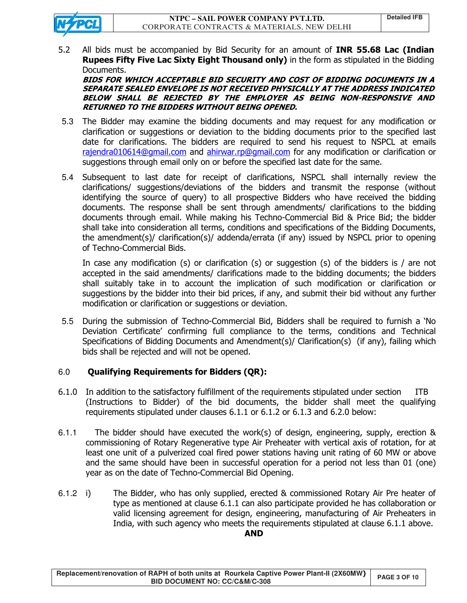5.2 All bids must be accompanied by Bid Security for an amount of **INR 55.68 Lac (Indian Rupees Fifty Five Lac Sixty Eight Thousand only)** in the form as stipulated in the Bidding Documents.

**BIDS FOR WHICH ACCEPTABLE BID SECURITY AND COST OF BIDDING DOCUMENTS IN A SEPARATE SEALED ENVELOPE IS NOT RECEIVED PHYSICALLY AT THE ADDRESS INDICATED BELOW SHALL BE REJECTED BY THE EMPLOYER AS BEING NON-RESPONSIVE AND RETURNED TO THE BIDDERS WITHOUT BEING OPENED.** 

- 5.3 The Bidder may examine the bidding documents and may request for any modification or clarification or suggestions or deviation to the bidding documents prior to the specified last date for clarifications. The bidders are required to send his request to NSPCL at emails rajendra010614@gmail.com and ahirwar.rp@gmail.com for any modification or clarification or suggestions through email only on or before the specified last date for the same.
- 5.4 Subsequent to last date for receipt of clarifications, NSPCL shall internally review the clarifications/ suggestions/deviations of the bidders and transmit the response (without identifying the source of query) to all prospective Bidders who have received the bidding documents. The response shall be sent through amendments/ clarifications to the bidding documents through email. While making his Techno-Commercial Bid & Price Bid; the bidder shall take into consideration all terms, conditions and specifications of the Bidding Documents, the amendment(s)/ clarification(s)/ addenda/errata (if any) issued by NSPCL prior to opening of Techno-Commercial Bids.

In case any modification (s) or clarification (s) or suggestion (s) of the bidders is / are not accepted in the said amendments/ clarifications made to the bidding documents; the bidders shall suitably take in to account the implication of such modification or clarification or suggestions by the bidder into their bid prices, if any, and submit their bid without any further modification or clarification or suggestions or deviation.

5.5 During the submission of Techno-Commercial Bid, Bidders shall be required to furnish a 'No Deviation Certificate' confirming full compliance to the terms, conditions and Technical Specifications of Bidding Documents and Amendment(s)/ Clarification(s) (if any), failing which bids shall be rejected and will not be opened.

#### 6.0 **Qualifying Requirements for Bidders (QR):**

- 6.1.0 In addition to the satisfactory fulfillment of the requirements stipulated under section ITB (Instructions to Bidder) of the bid documents, the bidder shall meet the qualifying requirements stipulated under clauses 6.1.1 or 6.1.2 or 6.1.3 and 6.2.0 below:
- 6.1.1 The bidder should have executed the work(s) of design, engineering, supply, erection & commissioning of Rotary Regenerative type Air Preheater with vertical axis of rotation, for at least one unit of a pulverized coal fired power stations having unit rating of 60 MW or above and the same should have been in successful operation for a period not less than 01 (one) year as on the date of Techno-Commercial Bid Opening.
- 6.1.2 i) The Bidder, who has only supplied, erected & commissioned Rotary Air Pre heater of type as mentioned at clause 6.1.1 can also participate provided he has collaboration or valid licensing agreement for design, engineering, manufacturing of Air Preheaters in India, with such agency who meets the requirements stipulated at clause 6.1.1 above.

#### **AND**

| Replacement/renovation of RAPH of both units at Rourkela Captive Power Plant-II (2X60MW) | <b>PAGE 3 OF 10</b> |
|------------------------------------------------------------------------------------------|---------------------|
| <b>BID DOCUMENT NO: CC/C&amp;M/C-308</b>                                                 |                     |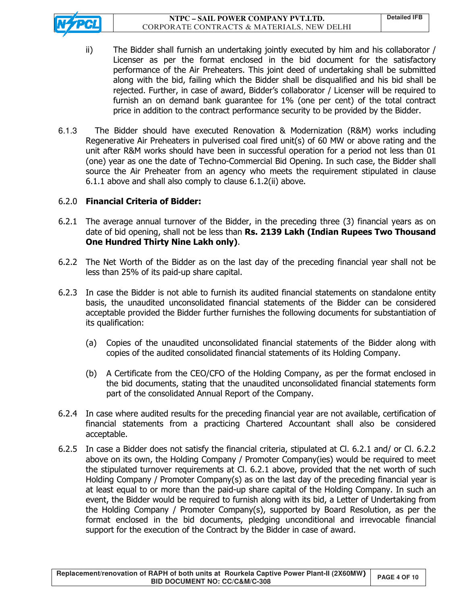**NTPC – SAIL POWER COMPANY PVT.LTD.**  CORPORATE CONTRACTS & MATERIALS, NEW DELHI



- ii) The Bidder shall furnish an undertaking jointly executed by him and his collaborator / Licenser as per the format enclosed in the bid document for the satisfactory performance of the Air Preheaters. This joint deed of undertaking shall be submitted along with the bid, failing which the Bidder shall be disqualified and his bid shall be rejected. Further, in case of award, Bidder's collaborator / Licenser will be required to furnish an on demand bank guarantee for 1% (one per cent) of the total contract price in addition to the contract performance security to be provided by the Bidder.
- 6.1.3 The Bidder should have executed Renovation & Modernization (R&M) works including Regenerative Air Preheaters in pulverised coal fired unit(s) of 60 MW or above rating and the unit after R&M works should have been in successful operation for a period not less than 01 (one) year as one the date of Techno-Commercial Bid Opening. In such case, the Bidder shall source the Air Preheater from an agency who meets the requirement stipulated in clause 6.1.1 above and shall also comply to clause 6.1.2(ii) above.

## 6.2.0 **Financial Criteria of Bidder:**

- 6.2.1 The average annual turnover of the Bidder, in the preceding three (3) financial years as on date of bid opening, shall not be less than **Rs. 2139 Lakh (Indian Rupees Two Thousand One Hundred Thirty Nine Lakh only)**.
- 6.2.2 The Net Worth of the Bidder as on the last day of the preceding financial year shall not be less than 25% of its paid-up share capital.
- 6.2.3 In case the Bidder is not able to furnish its audited financial statements on standalone entity basis, the unaudited unconsolidated financial statements of the Bidder can be considered acceptable provided the Bidder further furnishes the following documents for substantiation of its qualification:
	- (a) Copies of the unaudited unconsolidated financial statements of the Bidder along with copies of the audited consolidated financial statements of its Holding Company.
	- (b) A Certificate from the CEO/CFO of the Holding Company, as per the format enclosed in the bid documents, stating that the unaudited unconsolidated financial statements form part of the consolidated Annual Report of the Company.
- 6.2.4 In case where audited results for the preceding financial year are not available, certification of financial statements from a practicing Chartered Accountant shall also be considered acceptable.
- 6.2.5 In case a Bidder does not satisfy the financial criteria, stipulated at Cl. 6.2.1 and/ or Cl. 6.2.2 above on its own, the Holding Company / Promoter Company(ies) would be required to meet the stipulated turnover requirements at Cl. 6.2.1 above, provided that the net worth of such Holding Company / Promoter Company(s) as on the last day of the preceding financial year is at least equal to or more than the paid-up share capital of the Holding Company. In such an event, the Bidder would be required to furnish along with its bid, a Letter of Undertaking from the Holding Company / Promoter Company(s), supported by Board Resolution, as per the format enclosed in the bid documents, pledging unconditional and irrevocable financial support for the execution of the Contract by the Bidder in case of award.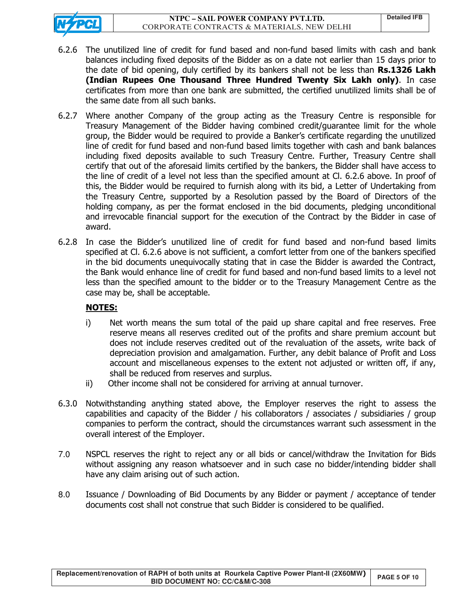

- 6.2.6 The unutilized line of credit for fund based and non-fund based limits with cash and bank balances including fixed deposits of the Bidder as on a date not earlier than 15 days prior to the date of bid opening, duly certified by its bankers shall not be less than **Rs.1326 Lakh (Indian Rupees One Thousand Three Hundred Twenty Six Lakh only)**. In case certificates from more than one bank are submitted, the certified unutilized limits shall be of the same date from all such banks.
- 6.2.7 Where another Company of the group acting as the Treasury Centre is responsible for Treasury Management of the Bidder having combined credit/guarantee limit for the whole group, the Bidder would be required to provide a Banker's certificate regarding the unutilized line of credit for fund based and non-fund based limits together with cash and bank balances including fixed deposits available to such Treasury Centre. Further, Treasury Centre shall certify that out of the aforesaid limits certified by the bankers, the Bidder shall have access to the line of credit of a level not less than the specified amount at Cl. 6.2.6 above. In proof of this, the Bidder would be required to furnish along with its bid, a Letter of Undertaking from the Treasury Centre, supported by a Resolution passed by the Board of Directors of the holding company, as per the format enclosed in the bid documents, pledging unconditional and irrevocable financial support for the execution of the Contract by the Bidder in case of award.
- 6.2.8 In case the Bidder's unutilized line of credit for fund based and non-fund based limits specified at Cl. 6.2.6 above is not sufficient, a comfort letter from one of the bankers specified in the bid documents unequivocally stating that in case the Bidder is awarded the Contract, the Bank would enhance line of credit for fund based and non-fund based limits to a level not less than the specified amount to the bidder or to the Treasury Management Centre as the case may be, shall be acceptable.

## **NOTES:**

- i) Net worth means the sum total of the paid up share capital and free reserves. Free reserve means all reserves credited out of the profits and share premium account but does not include reserves credited out of the revaluation of the assets, write back of depreciation provision and amalgamation. Further, any debit balance of Profit and Loss account and miscellaneous expenses to the extent not adjusted or written off, if any, shall be reduced from reserves and surplus.
- ii) Other income shall not be considered for arriving at annual turnover.
- 6.3.0 Notwithstanding anything stated above, the Employer reserves the right to assess the capabilities and capacity of the Bidder / his collaborators / associates / subsidiaries / group companies to perform the contract, should the circumstances warrant such assessment in the overall interest of the Employer.
- 7.0 NSPCL reserves the right to reject any or all bids or cancel/withdraw the Invitation for Bids without assigning any reason whatsoever and in such case no bidder/intending bidder shall have any claim arising out of such action.
- 8.0 Issuance / Downloading of Bid Documents by any Bidder or payment / acceptance of tender documents cost shall not construe that such Bidder is considered to be qualified.